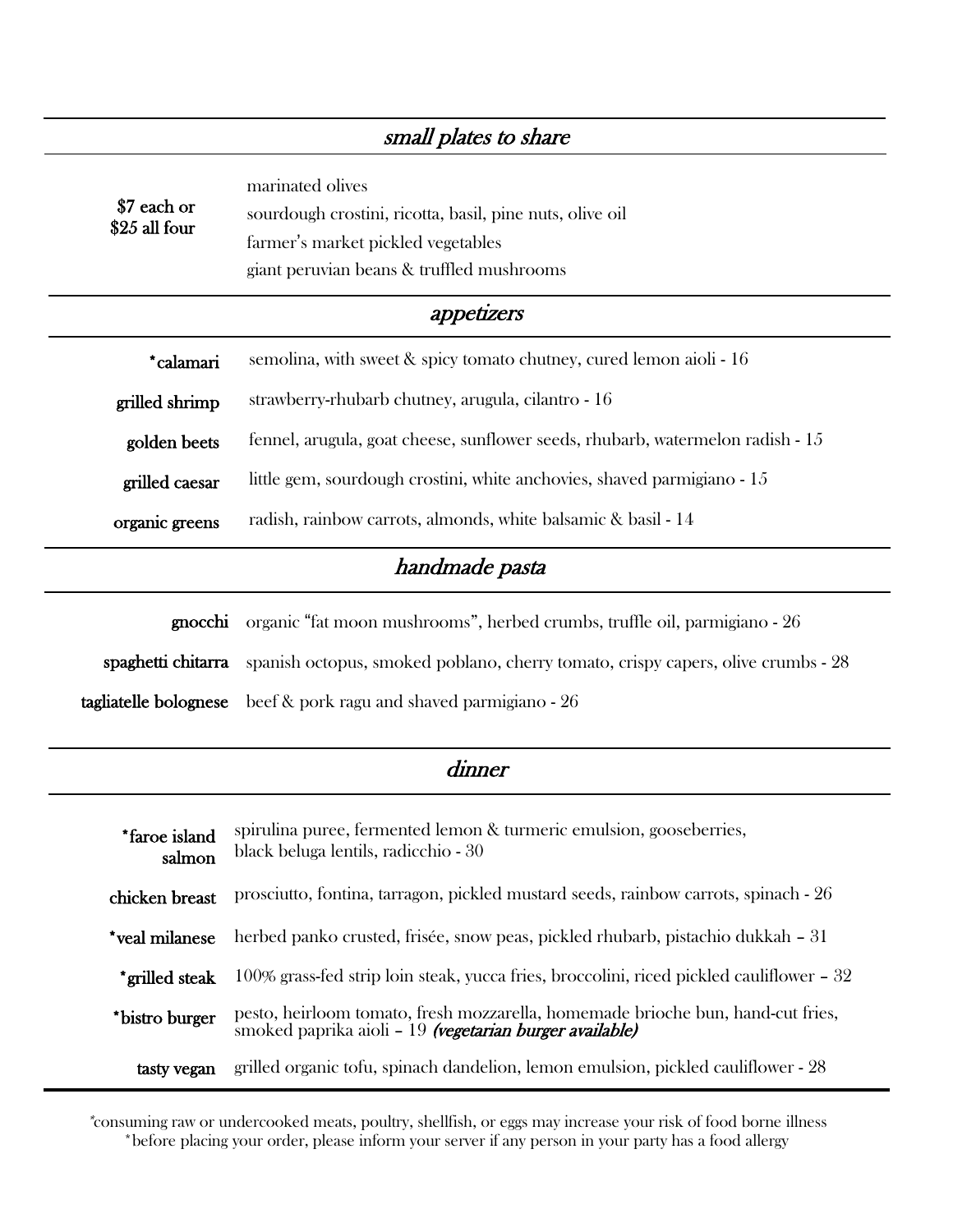| small plates to share        |                                                                                                                                                                 |  |
|------------------------------|-----------------------------------------------------------------------------------------------------------------------------------------------------------------|--|
| \$7 each or<br>\$25 all four | marinated olives<br>sourdough crostini, ricotta, basil, pine nuts, olive oil<br>farmer's market pickled vegetables<br>giant peruvian beans & truffled mushrooms |  |
| appetizers                   |                                                                                                                                                                 |  |
| *calamari                    | semolina, with sweet $\&$ spicy tomato chutney, cured lemon aioli - 16                                                                                          |  |
| grilled shrimp               | strawberry-rhubarb chutney, arugula, cilantro - 16                                                                                                              |  |
| golden beets                 | fennel, arugula, goat cheese, sunflower seeds, rhubarb, watermelon radish - 15                                                                                  |  |
| grilled caesar               | little gem, sourdough crostini, white anchovies, shaved parmigiano - 15                                                                                         |  |
| organic greens               | radish, rainbow carrots, almonds, white balsamic & basil - 14                                                                                                   |  |
| handmade pasta               |                                                                                                                                                                 |  |
| gnocchi                      | organic "fat moon mushrooms", herbed crumbs, truffle oil, parmigiano - 26                                                                                       |  |
| spaghetti chitarra           | spanish octopus, smoked poblano, cherry tomato, crispy capers, olive crumbs - 28                                                                                |  |
| tagliatelle bolognese        | beef & pork ragu and shaved parmigiano - 26                                                                                                                     |  |
| dinner                       |                                                                                                                                                                 |  |

| *faroe island<br>salmon | spirulina puree, fermented lemon & turmeric emulsion, gooseberries,<br>black beluga lentils, radicchio - 30                                |
|-------------------------|--------------------------------------------------------------------------------------------------------------------------------------------|
| chicken breast          | prosciutto, fontina, tarragon, pickled mustard seeds, rainbow carrots, spinach - 26                                                        |
| *veal milanese          | herbed panko crusted, frisée, snow peas, pickled rhubarb, pistachio dukkah – 31                                                            |
| *grilled steak          | 100% grass-fed strip loin steak, yucca fries, broccolini, riced pickled cauliflower – 32                                                   |
| *bistro burger          | pesto, heirloom tomato, fresh mozzarella, homemade brioche bun, hand-cut fries,<br>smoked paprika aioli – 19 (vegetarian burger available) |
| tasty vegan             | grilled organic tofu, spinach dandelion, lemon emulsion, pickled cauliflower - 28                                                          |
|                         |                                                                                                                                            |

\*consuming raw or undercooked meats, poultry, shellfish, or eggs may increase your risk of food borne illness \*before placing your order, please inform your server if any person in your party has a food allergy